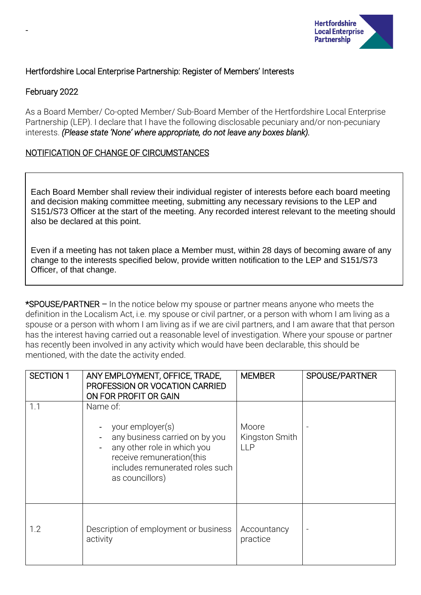

## Hertfordshire Local Enterprise Partnership: Register of Members' Interests

## February 2022

-

As a Board Member/ Co-opted Member/ Sub-Board Member of the Hertfordshire Local Enterprise Partnership (LEP). I declare that I have the following disclosable pecuniary and/or non-pecuniary interests. *(Please state 'None' where appropriate, do not leave any boxes blank).*

## NOTIFICATION OF CHANGE OF CIRCUMSTANCES

Each Board Member shall review their individual register of interests before each board meeting and decision making committee meeting, submitting any necessary revisions to the LEP and S151/S73 Officer at the start of the meeting. Any recorded interest relevant to the meeting should also be declared at this point.

Even if a meeting has not taken place a Member must, within 28 days of becoming aware of any change to the interests specified below, provide written notification to the LEP and S151/S73 Officer, of that change.

\*SPOUSE/PARTNER – In the notice below my spouse or partner means anyone who meets the definition in the Localism Act, i.e. my spouse or civil partner, or a person with whom I am living as a spouse or a person with whom I am living as if we are civil partners, and I am aware that that person has the interest having carried out a reasonable level of investigation. Where your spouse or partner has recently been involved in any activity which would have been declarable, this should be mentioned, with the date the activity ended.

| <b>SECTION 1</b> | ANY EMPLOYMENT, OFFICE, TRADE,<br>PROFESSION OR VOCATION CARRIED<br>ON FOR PROFIT OR GAIN                                                                                        | <b>MEMBER</b>                         | SPOUSE/PARTNER |
|------------------|----------------------------------------------------------------------------------------------------------------------------------------------------------------------------------|---------------------------------------|----------------|
| 1.1              | Name of:<br>your employer(s)<br>any business carried on by you<br>any other role in which you<br>receive remuneration(this<br>includes remunerated roles such<br>as councillors) | Moore<br>Kingston Smith<br><b>LLP</b> |                |
| 1.2              | Description of employment or business<br>activity                                                                                                                                | Accountancy<br>practice               |                |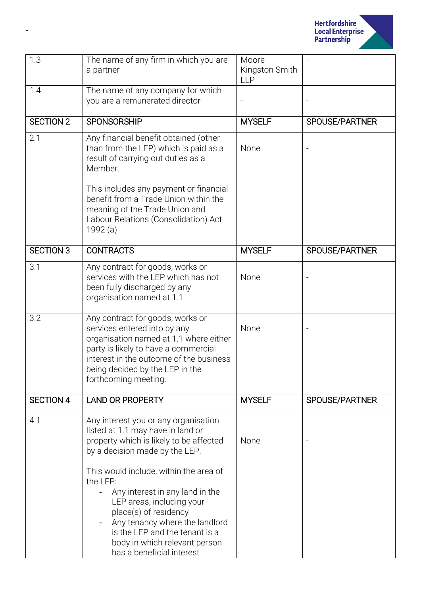

| 1.3              | The name of any firm in which you are<br>a partner                                                                                                                                                                                                                            | Moore<br>Kingston Smith<br><b>LLP</b> |                |
|------------------|-------------------------------------------------------------------------------------------------------------------------------------------------------------------------------------------------------------------------------------------------------------------------------|---------------------------------------|----------------|
| 1.4              | The name of any company for which<br>you are a remunerated director                                                                                                                                                                                                           |                                       |                |
| <b>SECTION 2</b> | <b>SPONSORSHIP</b>                                                                                                                                                                                                                                                            | <b>MYSELF</b>                         | SPOUSE/PARTNER |
| 2.1              | Any financial benefit obtained (other<br>than from the LEP) which is paid as a<br>result of carrying out duties as a<br>Member.<br>This includes any payment or financial                                                                                                     | None                                  |                |
|                  | benefit from a Trade Union within the<br>meaning of the Trade Union and<br>Labour Relations (Consolidation) Act<br>1992 (a)                                                                                                                                                   |                                       |                |
| <b>SECTION 3</b> | <b>CONTRACTS</b>                                                                                                                                                                                                                                                              | <b>MYSELF</b>                         | SPOUSE/PARTNER |
| 3.1              | Any contract for goods, works or<br>services with the LEP which has not<br>been fully discharged by any<br>organisation named at 1.1                                                                                                                                          | None                                  |                |
| 3.2              | Any contract for goods, works or<br>services entered into by any<br>organisation named at 1.1 where either<br>party is likely to have a commercial<br>interest in the outcome of the business<br>being decided by the LEP in the<br>forthcoming meeting.                      | None                                  |                |
| <b>SECTION 4</b> | <b>LAND OR PROPERTY</b>                                                                                                                                                                                                                                                       | <b>MYSELF</b>                         | SPOUSE/PARTNER |
| 4.1              | Any interest you or any organisation<br>listed at 1.1 may have in land or<br>property which is likely to be affected<br>by a decision made by the LEP.                                                                                                                        | None                                  |                |
|                  | This would include, within the area of<br>the LEP:<br>Any interest in any land in the<br>LEP areas, including your<br>place(s) of residency<br>Any tenancy where the landlord<br>is the LEP and the tenant is a<br>body in which relevant person<br>has a beneficial interest |                                       |                |

-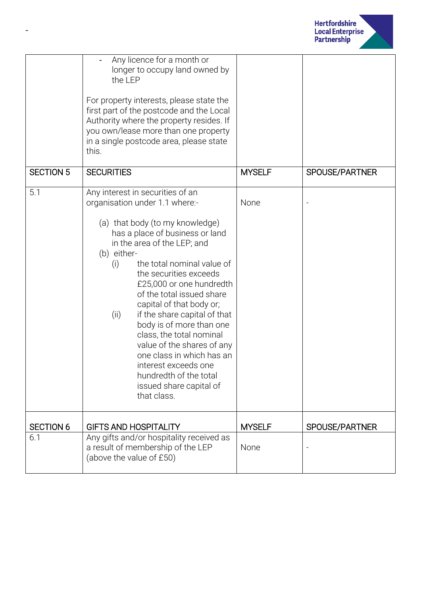

|                  | Any licence for a month or<br>longer to occupy land owned by<br>the LEP<br>For property interests, please state the<br>first part of the postcode and the Local<br>Authority where the property resides. If<br>you own/lease more than one property<br>in a single postcode area, please state<br>this.                                                                                                                                                                                                                                                                                           |               |                |
|------------------|---------------------------------------------------------------------------------------------------------------------------------------------------------------------------------------------------------------------------------------------------------------------------------------------------------------------------------------------------------------------------------------------------------------------------------------------------------------------------------------------------------------------------------------------------------------------------------------------------|---------------|----------------|
| <b>SECTION 5</b> | <b>SECURITIES</b>                                                                                                                                                                                                                                                                                                                                                                                                                                                                                                                                                                                 | <b>MYSELF</b> | SPOUSE/PARTNER |
| 5.1              | Any interest in securities of an<br>organisation under 1.1 where:-<br>(a) that body (to my knowledge)<br>has a place of business or land<br>in the area of the LEP; and<br>(b) either-<br>the total nominal value of<br>(i)<br>the securities exceeds<br>£25,000 or one hundredth<br>of the total issued share<br>capital of that body or;<br>if the share capital of that<br>(ii)<br>body is of more than one<br>class, the total nominal<br>value of the shares of any<br>one class in which has an<br>interest exceeds one<br>hundredth of the total<br>issued share capital of<br>that class. | None          |                |
| <b>SECTION 6</b> | <b>GIFTS AND HOSPITALITY</b>                                                                                                                                                                                                                                                                                                                                                                                                                                                                                                                                                                      | <b>MYSELF</b> | SPOUSE/PARTNER |
| 6.1              | Any gifts and/or hospitality received as<br>a result of membership of the LEP<br>(above the value of £50)                                                                                                                                                                                                                                                                                                                                                                                                                                                                                         | None          |                |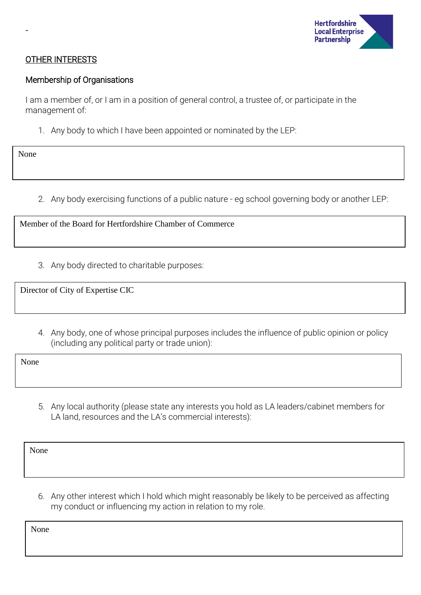

### OTHER INTERESTS

#### Membership of Organisations

I am a member of, or I am in a position of general control, a trustee of, or participate in the management of:

1. Any body to which I have been appointed or nominated by the LEP:

None

-

2. Any body exercising functions of a public nature - eg school governing body or another LEP:

Member of the Board for Hertfordshire Chamber of Commerce

3. Any body directed to charitable purposes:

Director of City of Expertise CIC

4. Any body, one of whose principal purposes includes the influence of public opinion or policy (including any political party or trade union):

None

5. Any local authority (please state any interests you hold as LA leaders/cabinet members for LA land, resources and the LA's commercial interests):

None

6. Any other interest which I hold which might reasonably be likely to be perceived as affecting my conduct or influencing my action in relation to my role.

None